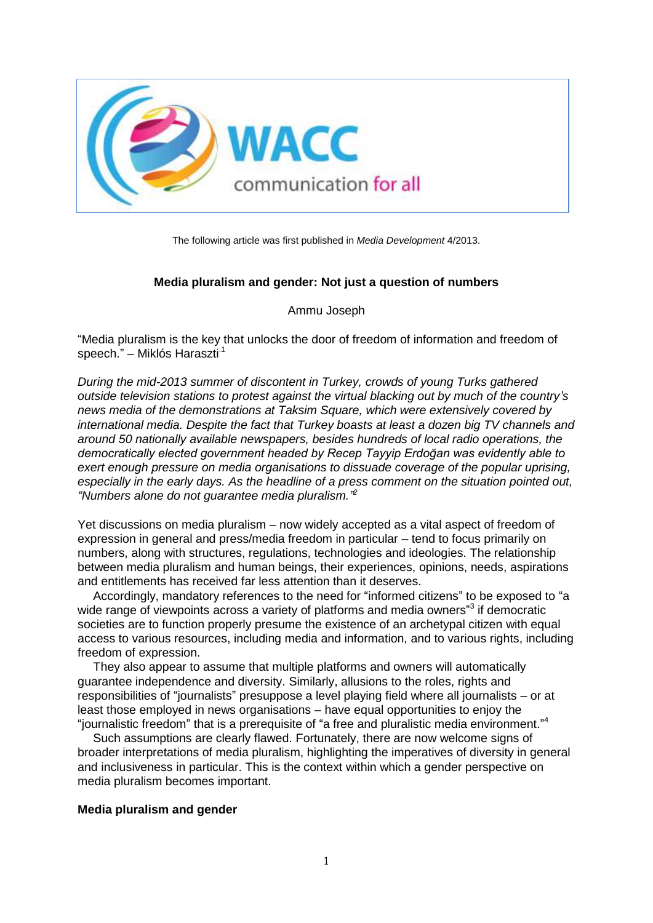

The following article was first published in *Media Development* 4/2013.

# **Media pluralism and gender: Not just a question of numbers**

Ammu Joseph

"Media pluralism is the key that unlocks the door of freedom of information and freedom of speech." – Miklós Haraszti<sup>1</sup>

*During the mid-2013 summer of discontent in Turkey, crowds of young Turks gathered outside television stations to protest against the virtual blacking out by much of the country's news media of the demonstrations at Taksim Square, which were extensively covered by international media. Despite the fact that Turkey boasts at least a dozen big TV channels and around 50 nationally available newspapers, besides hundreds of local radio operations, the democratically elected government headed by Recep Tayyip Erdoğan was evidently able to exert enough pressure on media organisations to dissuade coverage of the popular uprising, especially in the early days. As the headline of a press comment on the situation pointed out, "Numbers alone do not guarantee media pluralism." 2*

Yet discussions on media pluralism – now widely accepted as a vital aspect of freedom of expression in general and press/media freedom in particular – tend to focus primarily on numbers, along with structures, regulations, technologies and ideologies. The relationship between media pluralism and human beings, their experiences, opinions, needs, aspirations and entitlements has received far less attention than it deserves.

Accordingly, mandatory references to the need for "informed citizens" to be exposed to "a wide range of viewpoints across a variety of platforms and media owners"<sup>3</sup> if democratic societies are to function properly presume the existence of an archetypal citizen with equal access to various resources, including media and information, and to various rights, including freedom of expression.

They also appear to assume that multiple platforms and owners will automatically guarantee independence and diversity. Similarly, allusions to the roles, rights and responsibilities of "journalists" presuppose a level playing field where all journalists – or at least those employed in news organisations – have equal opportunities to enjoy the "journalistic freedom" that is a prerequisite of "a free and pluralistic media environment."<sup>4</sup>

Such assumptions are clearly flawed. Fortunately, there are now welcome signs of broader interpretations of media pluralism, highlighting the imperatives of diversity in general and inclusiveness in particular. This is the context within which a gender perspective on media pluralism becomes important.

## **Media pluralism and gender**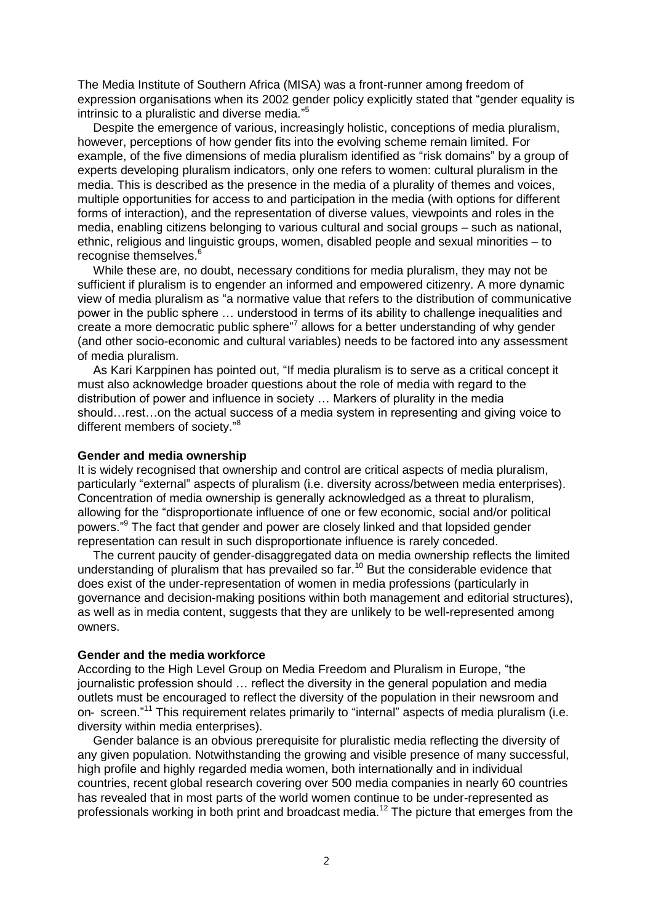The Media Institute of Southern Africa (MISA) was a front-runner among freedom of expression organisations when its 2002 gender policy explicitly stated that "gender equality is intrinsic to a pluralistic and diverse media." 5

Despite the emergence of various, increasingly holistic, conceptions of media pluralism, however, perceptions of how gender fits into the evolving scheme remain limited. For example, of the five dimensions of media pluralism identified as "risk domains" by a group of experts developing pluralism indicators, only one refers to women: cultural pluralism in the media. This is described as the presence in the media of a plurality of themes and voices, multiple opportunities for access to and participation in the media (with options for different forms of interaction), and the representation of diverse values, viewpoints and roles in the media, enabling citizens belonging to various cultural and social groups – such as national, ethnic, religious and linguistic groups, women, disabled people and sexual minorities – to recognise themselves.<sup>6</sup>

While these are, no doubt, necessary conditions for media pluralism, they may not be sufficient if pluralism is to engender an informed and empowered citizenry. A more dynamic view of media pluralism as "a normative value that refers to the distribution of communicative power in the public sphere … understood in terms of its ability to challenge inequalities and create a more democratic public sphere"<sup>7</sup> allows for a better understanding of why gender (and other socio-economic and cultural variables) needs to be factored into any assessment of media pluralism.

As Kari Karppinen has pointed out, "If media pluralism is to serve as a critical concept it must also acknowledge broader questions about the role of media with regard to the distribution of power and influence in society … Markers of plurality in the media should…rest…on the actual success of a media system in representing and giving voice to different members of society."<sup>8</sup>

## **Gender and media ownership**

It is widely recognised that ownership and control are critical aspects of media pluralism, particularly "external" aspects of pluralism (i.e. diversity across/between media enterprises). Concentration of media ownership is generally acknowledged as a threat to pluralism, allowing for the "disproportionate influence of one or few economic, social and/or political powers." <sup>9</sup> The fact that gender and power are closely linked and that lopsided gender representation can result in such disproportionate influence is rarely conceded.

The current paucity of gender-disaggregated data on media ownership reflects the limited understanding of pluralism that has prevailed so far.<sup>10</sup> But the considerable evidence that does exist of the under-representation of women in media professions (particularly in governance and decision-making positions within both management and editorial structures), as well as in media content, suggests that they are unlikely to be well-represented among owners.

## **Gender and the media workforce**

According to the High Level Group on Media Freedom and Pluralism in Europe, "the journalistic profession should … reflect the diversity in the general population and media outlets must be encouraged to reflect the diversity of the population in their newsroom and on- screen."<sup>11</sup> This requirement relates primarily to "internal" aspects of media pluralism (i.e. diversity within media enterprises).

Gender balance is an obvious prerequisite for pluralistic media reflecting the diversity of any given population. Notwithstanding the growing and visible presence of many successful, high profile and highly regarded media women, both internationally and in individual countries, recent global research covering over 500 media companies in nearly 60 countries has revealed that in most parts of the world women continue to be under-represented as professionals working in both print and broadcast media.<sup>12</sup> The picture that emerges from the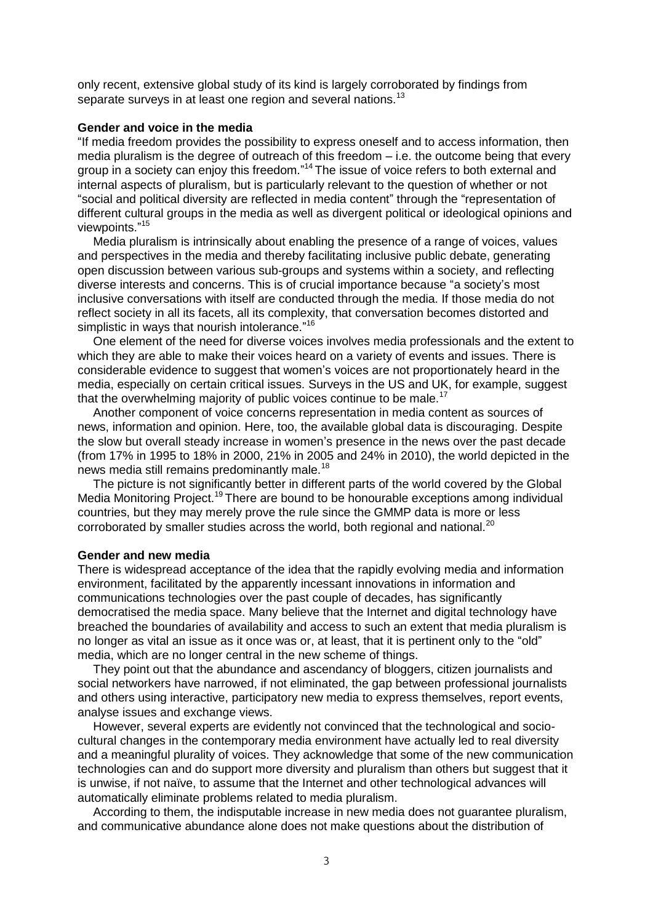only recent, extensive global study of its kind is largely corroborated by findings from separate surveys in at least one region and several nations.<sup>13</sup>

# **Gender and voice in the media**

"If media freedom provides the possibility to express oneself and to access information, then media pluralism is the degree of outreach of this freedom – i.e. the outcome being that every group in a society can enjoy this freedom."<sup>14</sup> The issue of voice refers to both external and internal aspects of pluralism, but is particularly relevant to the question of whether or not "social and political diversity are reflected in media content" through the "representation of different cultural groups in the media as well as divergent political or ideological opinions and viewpoints."<sup>15</sup>

Media pluralism is intrinsically about enabling the presence of a range of voices, values and perspectives in the media and thereby facilitating inclusive public debate, generating open discussion between various sub-groups and systems within a society, and reflecting diverse interests and concerns. This is of crucial importance because "a society's most inclusive conversations with itself are conducted through the media. If those media do not reflect society in all its facets, all its complexity, that conversation becomes distorted and simplistic in ways that nourish intolerance."<sup>16</sup>

One element of the need for diverse voices involves media professionals and the extent to which they are able to make their voices heard on a variety of events and issues. There is considerable evidence to suggest that women's voices are not proportionately heard in the media, especially on certain critical issues. Surveys in the US and UK, for example, suggest that the overwhelming majority of public voices continue to be male.<sup>17</sup>

Another component of voice concerns representation in media content as sources of news, information and opinion. Here, too, the available global data is discouraging. Despite the slow but overall steady increase in women's presence in the news over the past decade (from 17% in 1995 to 18% in 2000, 21% in 2005 and 24% in 2010), the world depicted in the news media still remains predominantly male.<sup>18</sup>

The picture is not significantly better in different parts of the world covered by the Global Media Monitoring Project.<sup>19</sup> There are bound to be honourable exceptions among individual countries, but they may merely prove the rule since the GMMP data is more or less corroborated by smaller studies across the world, both regional and national.<sup>20</sup>

# **Gender and new media**

There is widespread acceptance of the idea that the rapidly evolving media and information environment, facilitated by the apparently incessant innovations in information and communications technologies over the past couple of decades, has significantly democratised the media space. Many believe that the Internet and digital technology have breached the boundaries of availability and access to such an extent that media pluralism is no longer as vital an issue as it once was or, at least, that it is pertinent only to the "old" media, which are no longer central in the new scheme of things.

They point out that the abundance and ascendancy of bloggers, citizen journalists and social networkers have narrowed, if not eliminated, the gap between professional journalists and others using interactive, participatory new media to express themselves, report events, analyse issues and exchange views.

However, several experts are evidently not convinced that the technological and sociocultural changes in the contemporary media environment have actually led to real diversity and a meaningful plurality of voices. They acknowledge that some of the new communication technologies can and do support more diversity and pluralism than others but suggest that it is unwise, if not naïve, to assume that the Internet and other technological advances will automatically eliminate problems related to media pluralism.

According to them, the indisputable increase in new media does not guarantee pluralism, and communicative abundance alone does not make questions about the distribution of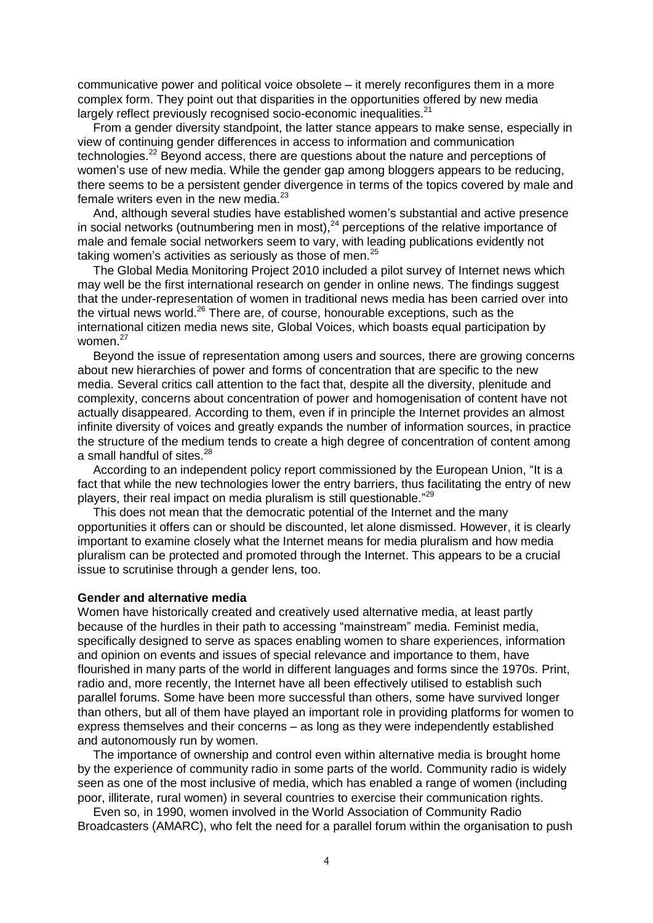communicative power and political voice obsolete – it merely reconfigures them in a more complex form. They point out that disparities in the opportunities offered by new media largely reflect previously recognised socio-economic inequalities.<sup>21</sup>

From a gender diversity standpoint, the latter stance appears to make sense, especially in view of continuing gender differences in access to information and communication technologies.<sup>22</sup> Beyond access, there are questions about the nature and perceptions of women's use of new media. While the gender gap among bloggers appears to be reducing, there seems to be a persistent gender divergence in terms of the topics covered by male and female writers even in the new media. $23$ 

And, although several studies have established women's substantial and active presence in social networks (outnumbering men in most), $^{24}$  perceptions of the relative importance of male and female social networkers seem to vary, with leading publications evidently not taking women's activities as seriously as those of men.<sup>25</sup>

The Global Media Monitoring Project 2010 included a pilot survey of Internet news which may well be the first international research on gender in online news. The findings suggest that the under-representation of women in traditional news media has been carried over into the virtual news world.<sup>26</sup> There are, of course, honourable exceptions, such as the international citizen media news site, Global Voices, which boasts equal participation by women.<sup>27</sup>

Beyond the issue of representation among users and sources, there are growing concerns about new hierarchies of power and forms of concentration that are specific to the new media. Several critics call attention to the fact that, despite all the diversity, plenitude and complexity, concerns about concentration of power and homogenisation of content have not actually disappeared. According to them, even if in principle the Internet provides an almost infinite diversity of voices and greatly expands the number of information sources, in practice the structure of the medium tends to create a high degree of concentration of content among a small handful of sites.<sup>28</sup>

According to an independent policy report commissioned by the European Union, "It is a fact that while the new technologies lower the entry barriers, thus facilitating the entry of new players, their real impact on media pluralism is still questionable."<sup>29</sup>

This does not mean that the democratic potential of the Internet and the many opportunities it offers can or should be discounted, let alone dismissed. However, it is clearly important to examine closely what the Internet means for media pluralism and how media pluralism can be protected and promoted through the Internet. This appears to be a crucial issue to scrutinise through a gender lens, too.

# **Gender and alternative media**

Women have historically created and creatively used alternative media, at least partly because of the hurdles in their path to accessing "mainstream" media. Feminist media, specifically designed to serve as spaces enabling women to share experiences, information and opinion on events and issues of special relevance and importance to them, have flourished in many parts of the world in different languages and forms since the 1970s. Print, radio and, more recently, the Internet have all been effectively utilised to establish such parallel forums. Some have been more successful than others, some have survived longer than others, but all of them have played an important role in providing platforms for women to express themselves and their concerns – as long as they were independently established and autonomously run by women.

The importance of ownership and control even within alternative media is brought home by the experience of community radio in some parts of the world. Community radio is widely seen as one of the most inclusive of media, which has enabled a range of women (including poor, illiterate, rural women) in several countries to exercise their communication rights.

Even so, in 1990, women involved in the World Association of Community Radio Broadcasters (AMARC), who felt the need for a parallel forum within the organisation to push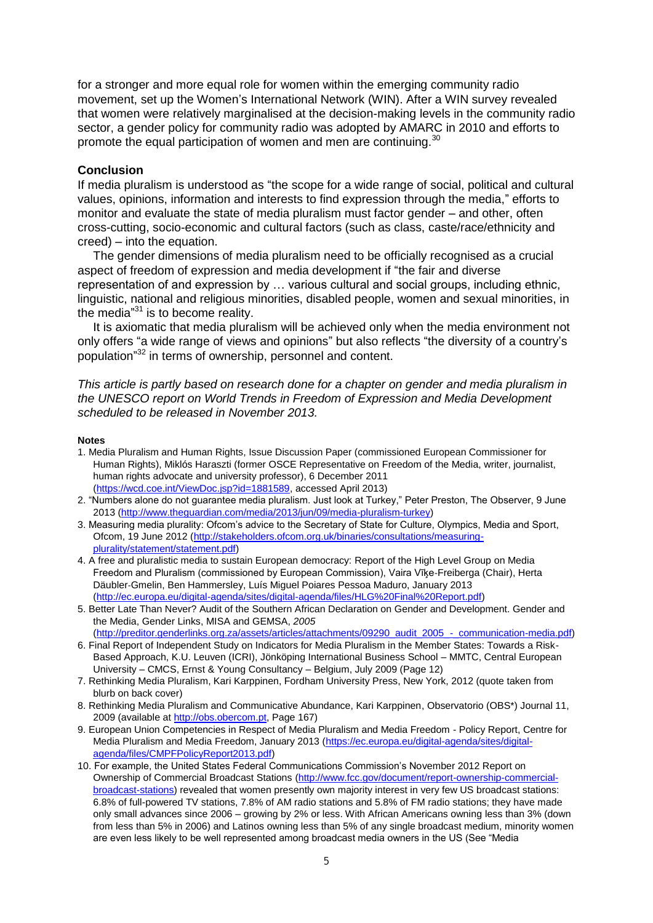for a stronger and more equal role for women within the emerging community radio movement, set up the Women's International Network (WIN). After a WIN survey revealed that women were relatively marginalised at the decision-making levels in the community radio sector, a gender policy for community radio was adopted by AMARC in 2010 and efforts to promote the equal participation of women and men are continuing.<sup>30</sup>

# **Conclusion**

If media pluralism is understood as "the scope for a wide range of social, political and cultural values, opinions, information and interests to find expression through the media," efforts to monitor and evaluate the state of media pluralism must factor gender – and other, often cross-cutting, socio-economic and cultural factors (such as class, caste/race/ethnicity and creed) – into the equation.

The gender dimensions of media pluralism need to be officially recognised as a crucial aspect of freedom of expression and media development if "the fair and diverse representation of and expression by … various cultural and social groups, including ethnic, linguistic, national and religious minorities, disabled people, women and sexual minorities, in the media"<sup>31</sup> is to become reality.

It is axiomatic that media pluralism will be achieved only when the media environment not only offers "a wide range of views and opinions" but also reflects "the diversity of a country's population" <sup>32</sup> in terms of ownership, personnel and content.

*This article is partly based on research done for a chapter on gender and media pluralism in the UNESCO report on World Trends in Freedom of Expression and Media Development scheduled to be released in November 2013.*

## **Notes**

- 1. Media Pluralism and Human Rights, Issue Discussion Paper (commissioned European Commissioner for Human Rights), Miklós Haraszti (former OSCE Representative on Freedom of the Media, writer, journalist, human rights advocate and university professor), 6 December 2011 [\(https://wcd.coe.int/ViewDoc.jsp?id=1881589,](https://wcd.coe.int/ViewDoc.jsp?id=1881589) accessed April 2013)
- 2. "Numbers alone do not guarantee media pluralism. Just look at Turkey," Peter Preston, The Observer, 9 June 2013 [\(http://www.theguardian.com/media/2013/jun/09/media-pluralism-turkey\)](http://www.theguardian.com/media/2013/jun/09/media-pluralism-turkey)
- 3. Measuring media plurality: Ofcom's advice to the Secretary of State for Culture, Olympics, Media and Sport, Ofcom, 19 June 2012 [\(http://stakeholders.ofcom.org.uk/binaries/consultations/measuring](http://stakeholders.ofcom.org.uk/binaries/consultations/measuring-plurality/statement/statement.pdf)[plurality/statement/statement.pdf\)](http://stakeholders.ofcom.org.uk/binaries/consultations/measuring-plurality/statement/statement.pdf)
- 4. A free and pluralistic media to sustain European democracy: Report of the High Level Group on Media Freedom and Pluralism (commissioned by European Commission), Vaira Vīķe‐Freiberga (Chair), Herta Däubler‐Gmelin, Ben Hammersley, Luís Miguel Poiares Pessoa Maduro, January 2013 [\(http://ec.europa.eu/digital-agenda/sites/digital-agenda/files/HLG%20Final%20Report.pdf\)](http://ec.europa.eu/digital-agenda/sites/digital-agenda/files/HLG%20Final%20Report.pdf)
- 5. Better Late Than Never? Audit of the Southern African Declaration on Gender and Development. Gender and the Media, Gender Links, MISA and GEMSA, *2005*
- [\(http://preditor.genderlinks.org.za/assets/articles/attachments/09290\\_audit\\_2005\\_-\\_communication-media.pdf\)](http://preditor.genderlinks.org.za/assets/articles/attachments/09290_audit_2005_-_communication-media.pdf) 6. Final Report of Independent Study on Indicators for Media Pluralism in the Member States: Towards a Risk-Based Approach, K.U. Leuven (ICRI), Jönköping International Business School – MMTC, Central European
- University CMCS, Ernst & Young Consultancy Belgium, July 2009 (Page 12)
- 7. Rethinking Media Pluralism, Kari Karppinen, Fordham University Press, New York, 2012 (quote taken from blurb on back cover)
- 8. Rethinking Media Pluralism and Communicative Abundance, Kari Karppinen, Observatorio (OBS\*) Journal 11, 2009 (available at http://obs.obercom.pt. Page 167)
- 9. European Union Competencies in Respect of Media Pluralism and Media Freedom Policy Report, Centre for Media Pluralism and Media Freedom, January 2013 [\(https://ec.europa.eu/digital-agenda/sites/digital](https://ec.europa.eu/digital-agenda/sites/digital-agenda/files/CMPFPolicyReport2013.pdf)[agenda/files/CMPFPolicyReport2013.pdf\)](https://ec.europa.eu/digital-agenda/sites/digital-agenda/files/CMPFPolicyReport2013.pdf)
- 10. For example, the United States Federal Communications Commission's November 2012 Report on Ownership of Commercial Broadcast Stations [\(http://www.fcc.gov/document/report-ownership-commercial](http://www.fcc.gov/document/report-ownership-commercial-broadcast-stations)[broadcast-stations\)](http://www.fcc.gov/document/report-ownership-commercial-broadcast-stations) revealed that women presently own majority interest in very few US broadcast stations: 6.8% of full-powered TV stations, 7.8% of AM radio stations and 5.8% of FM radio stations; they have made only small advances since 2006 – growing by 2% or less. With African Americans owning less than 3% (down from less than 5% in 2006) and Latinos owning less than 5% of any single broadcast medium, minority women are even less likely to be well represented among broadcast media owners in the US (See "Media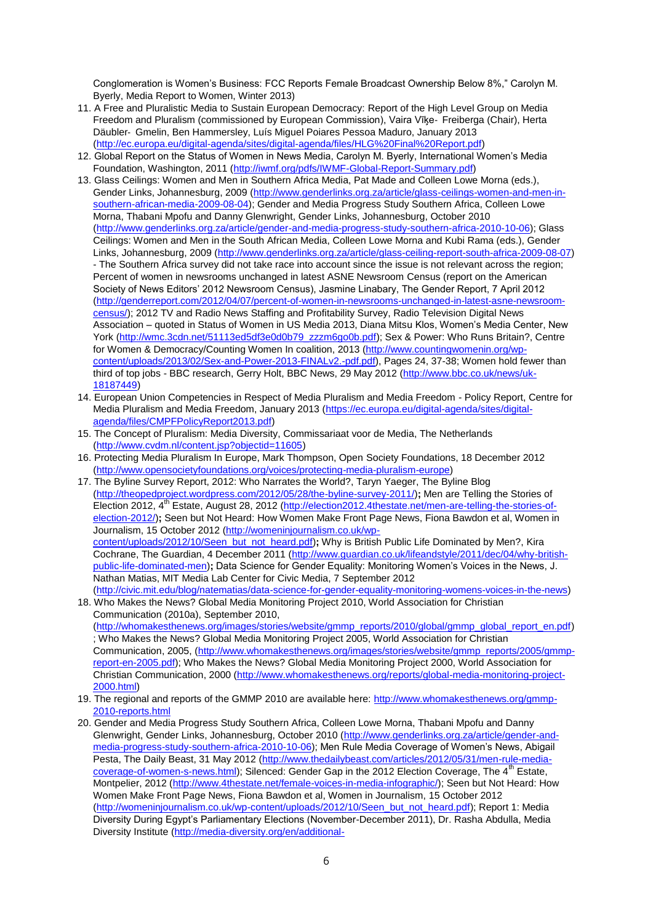Conglomeration is Women's Business: FCC Reports Female Broadcast Ownership Below 8%," Carolyn M. Byerly, Media Report to Women, Winter 2013)

- 11. A Free and Pluralistic Media to Sustain European Democracy: Report of the High Level Group on Media Freedom and Pluralism (commissioned by European Commission), Vaira Vīķe‐ Freiberga (Chair), Herta Däubler‐ Gmelin, Ben Hammersley, Luís Miguel Poiares Pessoa Maduro, January 2013 [\(http://ec.europa.eu/digital-agenda/sites/digital-agenda/files/HLG%20Final%20Report.pdf\)](http://ec.europa.eu/digital-agenda/sites/digital-agenda/files/HLG%20Final%20Report.pdf)
- 12. Global Report on the Status of Women in News Media, Carolyn M. Byerly, International Women's Media Foundation, Washington, 2011 [\(http://iwmf.org/pdfs/IWMF-Global-Report-Summary.pdf\)](http://iwmf.org/pdfs/IWMF-Global-Report-Summary.pdf)
- 13. Glass Ceilings: Women and Men in Southern Africa Media, Pat Made and Colleen Lowe Morna (eds.), Gender Links, Johannesburg, 2009 [\(http://www.genderlinks.org.za/article/glass-ceilings-women-and-men-in](http://www.genderlinks.org.za/article/glass-ceilings-women-and-men-in-southern-african-media-2009-08-04)[southern-african-media-2009-08-04\)](http://www.genderlinks.org.za/article/glass-ceilings-women-and-men-in-southern-african-media-2009-08-04); Gender and Media Progress Study Southern Africa, Colleen Lowe Morna, Thabani Mpofu and Danny Glenwright, Gender Links, Johannesburg, October 2010 [\(http://www.genderlinks.org.za/article/gender-and-media-progress-study-southern-africa-2010-10-06\)](http://www.genderlinks.org.za/article/gender-and-media-progress-study-southern-africa-2010-10-06); Glass Ceilings: Women and Men in the South African Media, Colleen Lowe Morna and Kubi Rama (eds.), Gender Links, Johannesburg, 2009 [\(http://www.genderlinks.org.za/article/glass-ceiling-report-south-africa-2009-08-07\)](http://www.genderlinks.org.za/article/glass-ceiling-report-south-africa-2009-08-07) - The Southern Africa survey did not take race into account since the issue is not relevant across the region; Percent of women in newsrooms unchanged in latest ASNE Newsroom Census (report on the American Society of News Editors' 2012 Newsroom Census), Jasmine Linabary, The Gender Report, 7 April 2012 [\(http://genderreport.com/2012/04/07/percent-of-women-in-newsrooms-unchanged-in-latest-asne-newsroom](http://genderreport.com/2012/04/07/percent-of-women-in-newsrooms-unchanged-in-latest-asne-newsroom-census/)[census/\)](http://genderreport.com/2012/04/07/percent-of-women-in-newsrooms-unchanged-in-latest-asne-newsroom-census/); 2012 TV and Radio News Staffing and Profitability Survey, Radio Television Digital News Association – quoted in Status of Women in US Media 2013, Diana Mitsu Klos, Women's Media Center, New York [\(http://wmc.3cdn.net/51113ed5df3e0d0b79\\_zzzm6go0b.pdf\)](http://wmc.3cdn.net/51113ed5df3e0d0b79_zzzm6go0b.pdf); Sex & Power: Who Runs Britain?, Centre for Women & Democracy/Counting Women In coalition, 2013 [\(http://www.countingwomenin.org/wp](http://www.countingwomenin.org/wp-content/uploads/2013/02/Sex-and-Power-2013-FINALv2.-pdf.pdf)[content/uploads/2013/02/Sex-and-Power-2013-FINALv2.-pdf.pdf\)](http://www.countingwomenin.org/wp-content/uploads/2013/02/Sex-and-Power-2013-FINALv2.-pdf.pdf), Pages 24, 37-38; Women hold fewer than third of top jobs - BBC research, Gerry Holt, BBC News, 29 May 2012 [\(http://www.bbc.co.uk/news/uk-](http://www.bbc.co.uk/news/uk-18187449)[18187449\)](http://www.bbc.co.uk/news/uk-18187449)
- 14. European Union Competencies in Respect of Media Pluralism and Media Freedom Policy Report, Centre for Media Pluralism and Media Freedom, January 2013 [\(https://ec.europa.eu/digital-agenda/sites/digital](https://ec.europa.eu/digital-agenda/sites/digital-agenda/files/CMPFPolicyReport2013.pdf)[agenda/files/CMPFPolicyReport2013.pdf\)](https://ec.europa.eu/digital-agenda/sites/digital-agenda/files/CMPFPolicyReport2013.pdf)
- 15. The Concept of Pluralism: Media Diversity, Commissariaat voor de Media, The Netherlands [\(http://www.cvdm.nl/content.jsp?objectid=11605\)](http://www.cvdm.nl/content.jsp?objectid=11605)
- 16. Protecting Media Pluralism In Europe, Mark Thompson, Open Society Foundations, 18 December 2012 [\(http://www.opensocietyfoundations.org/voices/protecting-media-pluralism-europe\)](http://www.opensocietyfoundations.org/voices/protecting-media-pluralism-europe)
- 17. The Byline Survey Report, 2012: Who Narrates the World?, Taryn Yaeger, The Byline Blog [\(http://theopedproject.wordpress.com/2012/05/28/the-byline-survey-2011/\)](http://theopedproject.wordpress.com/2012/05/28/the-byline-survey-2011/)**;** Men are Telling the Stories of Election 2012, 4<sup>th</sup> Estate, August 28, 2012 [\(http://election2012.4thestate.net/men-are-telling-the-stories-of](http://election2012.4thestate.net/men-are-telling-the-stories-of-election-2012/)[election-2012/\)](http://election2012.4thestate.net/men-are-telling-the-stories-of-election-2012/)**;** Seen but Not Heard: How Women Make Front Page News, Fiona Bawdon et al, Women in Journalism, 15 October 2012 [\(http://womeninjournalism.co.uk/wp](http://womeninjournalism.co.uk/wp-content/uploads/2012/10/Seen_but_not_heard.pdf)[content/uploads/2012/10/Seen\\_but\\_not\\_heard.pdf\)](http://womeninjournalism.co.uk/wp-content/uploads/2012/10/Seen_but_not_heard.pdf)**;** Why is British Public Life Dominated by Men?, Kira Cochrane, The Guardian, 4 December 2011 [\(http://www.guardian.co.uk/lifeandstyle/2011/dec/04/why-british](http://www.guardian.co.uk/lifeandstyle/2011/dec/04/why-british-public-life-dominated-men)[public-life-dominated-men\)](http://www.guardian.co.uk/lifeandstyle/2011/dec/04/why-british-public-life-dominated-men)**;** Data Science for Gender Equality: Monitoring Women's Voices in the News, J. Nathan Matias, MIT Media Lab Center for Civic Media, 7 September 2012 [\(http://civic.mit.edu/blog/natematias/data-science-for-gender-equality-monitoring-womens-voices-in-the-news\)](http://civic.mit.edu/blog/natematias/data-science-for-gender-equality-monitoring-womens-voices-in-the-news)
- 18. Who Makes the News? Global Media Monitoring Project 2010, World Association for Christian Communication (2010a), September 2010, [\(http://whomakesthenews.org/images/stories/website/gmmp\\_reports/2010/global/gmmp\\_global\\_report\\_en.pdf\)](http://whomakesthenews.org/images/stories/website/gmmp_reports/2010/global/gmmp_global_report_en.pdf) ; Who Makes the News? Global Media Monitoring Project 2005, World Association for Christian Communication, 2005, [\(http://www.whomakesthenews.org/images/stories/website/gmmp\\_reports/2005/gmmp](http://www.whomakesthenews.org/images/stories/website/gmmp_reports/2005/gmmp-report-en-2005.pdf)[report-en-2005.pdf\)](http://www.whomakesthenews.org/images/stories/website/gmmp_reports/2005/gmmp-report-en-2005.pdf); Who Makes the News? Global Media Monitoring Project 2000, World Association for Christian Communication, 2000 [\(http://www.whomakesthenews.org/reports/global-media-monitoring-project-](http://www.whomakesthenews.org/reports/global-media-monitoring-project-2000.html)[2000.html\)](http://www.whomakesthenews.org/reports/global-media-monitoring-project-2000.html)
- 19. The regional and reports of the GMMP 2010 are available here: [http://www.whomakesthenews.org/gmmp-](http://www.whomakesthenews.org/gmmp-2010-reports.html)[2010-reports.html](http://www.whomakesthenews.org/gmmp-2010-reports.html)
- 20. Gender and Media Progress Study Southern Africa, Colleen Lowe Morna, Thabani Mpofu and Danny Glenwright, Gender Links, Johannesburg, October 2010 [\(http://www.genderlinks.org.za/article/gender-and](http://www.genderlinks.org.za/article/gender-and-media-progress-study-southern-africa-2010-10-06)[media-progress-study-southern-africa-2010-10-06\)](http://www.genderlinks.org.za/article/gender-and-media-progress-study-southern-africa-2010-10-06); Men Rule Media Coverage of Women's News, Abigail Pesta, The Daily Beast, 31 May 2012 [\(http://www.thedailybeast.com/articles/2012/05/31/men-rule-media](http://www.thedailybeast.com/articles/2012/05/31/men-rule-media-coverage-of-women-s-news.html)[coverage-of-women-s-news.html\)](http://www.thedailybeast.com/articles/2012/05/31/men-rule-media-coverage-of-women-s-news.html); Silenced: Gender Gap in the 2012 Election Coverage, The 4<sup>th</sup> Estate, Montpelier, 2012 [\(http://www.4thestate.net/female-voices-in-media-infographic/\)](http://www.4thestate.net/female-voices-in-media-infographic/); Seen but Not Heard: How Women Make Front Page News, Fiona Bawdon et al, Women in Journalism, 15 October 2012 [\(http://womeninjournalism.co.uk/wp-content/uploads/2012/10/Seen\\_but\\_not\\_heard.pdf\)](http://womeninjournalism.co.uk/wp-content/uploads/2012/10/Seen_but_not_heard.pdf); Report 1: Media Diversity During Egypt's Parliamentary Elections (November-December 2011), Dr. Rasha Abdulla, Media Diversity Institute [\(http://media-diversity.org/en/additional-](http://media-diversity.org/en/additional-files/documents/News%20Documents/MDI_Media_Monitoring_Report_1_EN.pdf)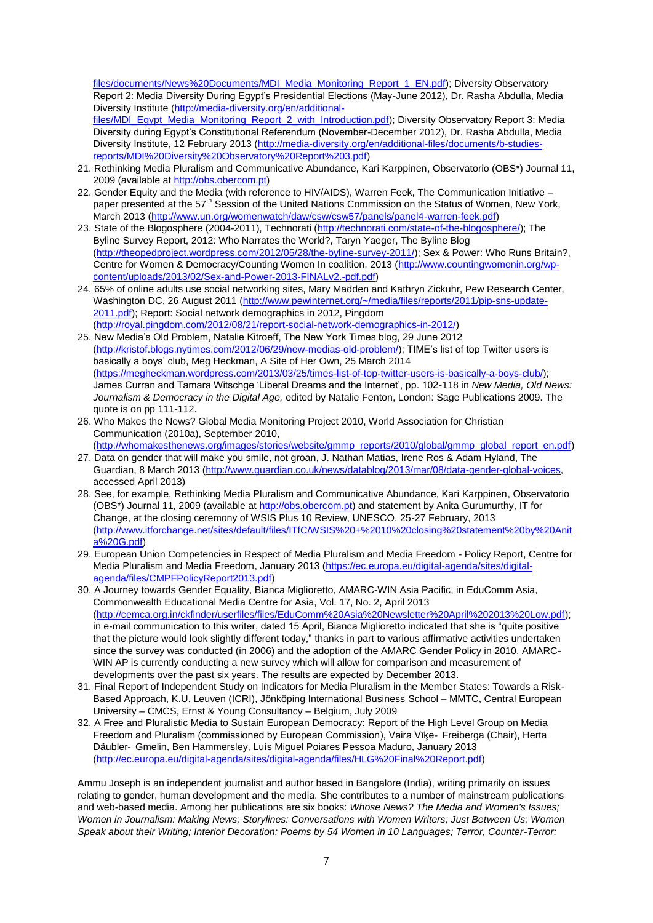files/documents/News%20Documents/MDI\_Media\_Monitoring\_Report\_1\_EN.pdf): Diversity Observatory Report 2: Media Diversity During Egypt's Presidential Elections (May-June 2012), Dr. Rasha Abdulla, Media Diversity Institute [\(http://media-diversity.org/en/additional-](http://media-diversity.org/en/additional-files/MDI_Egypt_Media_Monitoring_Report_2_with_Introduction.pdf)

[files/MDI\\_Egypt\\_Media\\_Monitoring\\_Report\\_2\\_with\\_Introduction.pdf\)](http://media-diversity.org/en/additional-files/MDI_Egypt_Media_Monitoring_Report_2_with_Introduction.pdf); Diversity Observatory Report 3: Media Diversity during Egypt's Constitutional Referendum (November-December 2012), Dr. Rasha Abdulla, Media Diversity Institute, 12 February 2013 [\(http://media-diversity.org/en/additional-files/documents/b-studies](http://media-diversity.org/en/additional-files/documents/b-studies-reports/MDI%20Diversity%20Observatory%20Report%203.pdf)[reports/MDI%20Diversity%20Observatory%20Report%203.pdf\)](http://media-diversity.org/en/additional-files/documents/b-studies-reports/MDI%20Diversity%20Observatory%20Report%203.pdf)

- 21. Rethinking Media Pluralism and Communicative Abundance, Kari Karppinen, Observatorio (OBS\*) Journal 11, 2009 (available a[t http://obs.obercom.pt\)](http://obs.obercom.pt/)
- 22. Gender Equity and the Media (with reference to HIV/AIDS), Warren Feek, The Communication Initiative paper presented at the 57<sup>th</sup> Session of the United Nations Commission on the Status of Women, New York, March 2013 [\(http://www.un.org/womenwatch/daw/csw/csw57/panels/panel4-warren-feek.pdf\)](http://www.un.org/womenwatch/daw/csw/csw57/panels/panel4-warren-feek.pdf)
- 23. State of the Blogosphere (2004-2011), Technorati [\(http://technorati.com/state-of-the-blogosphere/\)](http://technorati.com/state-of-the-blogosphere/); The Byline Survey Report, 2012: Who Narrates the World?, Taryn Yaeger, The Byline Blog [\(http://theopedproject.wordpress.com/2012/05/28/the-byline-survey-2011/\)](http://theopedproject.wordpress.com/2012/05/28/the-byline-survey-2011/); Sex & Power: Who Runs Britain?, Centre for Women & Democracy/Counting Women In coalition, 2013 [\(http://www.countingwomenin.org/wp](http://www.countingwomenin.org/wp-content/uploads/2013/02/Sex-and-Power-2013-FINALv2.-pdf.pdf)[content/uploads/2013/02/Sex-and-Power-2013-FINALv2.-pdf.pdf\)](http://www.countingwomenin.org/wp-content/uploads/2013/02/Sex-and-Power-2013-FINALv2.-pdf.pdf)
- 24. 65% of online adults use social networking sites, Mary Madden and Kathryn Zickuhr, Pew Research Center, Washington DC, 26 August 2011 [\(http://www.pewinternet.org/~/media/files/reports/2011/pip-sns-update-](http://www.pewinternet.org/~/media/files/reports/2011/pip-sns-update-2011.pdf)[2011.pdf\)](http://www.pewinternet.org/~/media/files/reports/2011/pip-sns-update-2011.pdf); Report: Social network demographics in 2012, Pingdom [\(http://royal.pingdom.com/2012/08/21/report-social-network-demographics-in-2012/\)](http://royal.pingdom.com/2012/08/21/report-social-network-demographics-in-2012/)

25. New Media's Old Problem, Natalie Kitroeff, The New York Times blog, 29 June 2012 [\(http://kristof.blogs.nytimes.com/2012/06/29/new-medias-old-problem/\)](http://kristof.blogs.nytimes.com/2012/06/29/new-medias-old-problem/); TIME's list of top Twitter users is basically a boys' club, Meg Heckman, A Site of Her Own, 25 March 2014 [\(https://megheckman.wordpress.com/2013/03/25/times-list-of-top-twitter-users-is-basically-a-boys-club/\)](https://megheckman.wordpress.com/2013/03/25/times-list-of-top-twitter-users-is-basically-a-boys-club/); James Curran and Tamara Witschge 'Liberal Dreams and the Internet', pp. 102-118 in *New Media, Old News: Journalism & Democracy in the Digital Age,* edited by Natalie Fenton, London: Sage Publications 2009. The quote is on pp 111-112.

26. Who Makes the News? Global Media Monitoring Project 2010, World Association for Christian Communication (2010a), September 2010,

[\(http://whomakesthenews.org/images/stories/website/gmmp\\_reports/2010/global/gmmp\\_global\\_report\\_en.pdf\)](http://whomakesthenews.org/images/stories/website/gmmp_reports/2010/global/gmmp_global_report_en.pdf) 27. Data on gender that will make you smile, not groan, J. Nathan Matias, Irene Ros & Adam Hyland, The

- Guardian, 8 March 2013 [\(http://www.guardian.co.uk/news/datablog/2013/mar/08/data-gender-global-voices,](http://www.guardian.co.uk/news/datablog/2013/mar/08/data-gender-global-voices) accessed April 2013)
- 28. See, for example, Rethinking Media Pluralism and Communicative Abundance, Kari Karppinen, Observatorio (OBS<sup>\*</sup>) Journal 11, 2009 (available at [http://obs.obercom.pt\)](http://obs.obercom.pt/) and statement by Anita Gurumurthy, IT for Change, at the closing ceremony of WSIS Plus 10 Review, UNESCO, 25-27 February, 2013 [\(http://www.itforchange.net/sites/default/files/ITfC/WSIS%20+%2010%20closing%20statement%20by%20Anit](http://www.itforchange.net/sites/default/files/ITfC/WSIS%20+%2010%20closing%20statement%20by%20Anita%20G.pdf) [a%20G.pdf\)](http://www.itforchange.net/sites/default/files/ITfC/WSIS%20+%2010%20closing%20statement%20by%20Anita%20G.pdf)
- 29. European Union Competencies in Respect of Media Pluralism and Media Freedom Policy Report, Centre for Media Pluralism and Media Freedom, January 2013 [\(https://ec.europa.eu/digital-agenda/sites/digital](https://ec.europa.eu/digital-agenda/sites/digital-agenda/files/CMPFPolicyReport2013.pdf)[agenda/files/CMPFPolicyReport2013.pdf\)](https://ec.europa.eu/digital-agenda/sites/digital-agenda/files/CMPFPolicyReport2013.pdf)
- 30. A Journey towards Gender Equality, Bianca Miglioretto, AMARC-WIN Asia Pacific, in EduComm Asia, Commonwealth Educational Media Centre for Asia, Vol. 17, No. 2, April 2013 [\(http://cemca.org.in/ckfinder/userfiles/files/EduComm%20Asia%20Newsletter%20April%202013%20Low.pdf\)](http://cemca.org.in/ckfinder/userfiles/files/EduComm%20Asia%20Newsletter%20April%202013%20Low.pdf); in e-mail communication to this writer, dated 15 April, Bianca Miglioretto indicated that she is "quite positive that the picture would look slightly different today," thanks in part to various affirmative activities undertaken since the survey was conducted (in 2006) and the adoption of the AMARC Gender Policy in 2010. AMARC-WIN AP is currently conducting a new survey which will allow for comparison and measurement of developments over the past six years. The results are expected by December 2013.
- 31. Final Report of Independent Study on Indicators for Media Pluralism in the Member States: Towards a Risk-Based Approach, K.U. Leuven (ICRI), Jönköping International Business School – MMTC, Central European University – CMCS, Ernst & Young Consultancy – Belgium, July 2009
- 32. A Free and Pluralistic Media to Sustain European Democracy: Report of the High Level Group on Media Freedom and Pluralism (commissioned by European Commission), Vaira Vīķe‐ Freiberga (Chair), Herta Däubler‐ Gmelin, Ben Hammersley, Luís Miguel Poiares Pessoa Maduro, January 2013 [\(http://ec.europa.eu/digital-agenda/sites/digital-agenda/files/HLG%20Final%20Report.pdf\)](http://ec.europa.eu/digital-agenda/sites/digital-agenda/files/HLG%20Final%20Report.pdf)

Ammu Joseph is an independent journalist and author based in Bangalore (India), writing primarily on issues relating to gender, human development and the media. She contributes to a number of mainstream publications and web-based media. Among her publications are six books: *Whose News? The Media and Women's Issues; Women in Journalism: Making News; Storylines: Conversations with Women Writers; Just Between Us: Women Speak about their Writing; Interior Decoration: Poems by 54 Women in 10 Languages; Terror, Counter-Terror:*